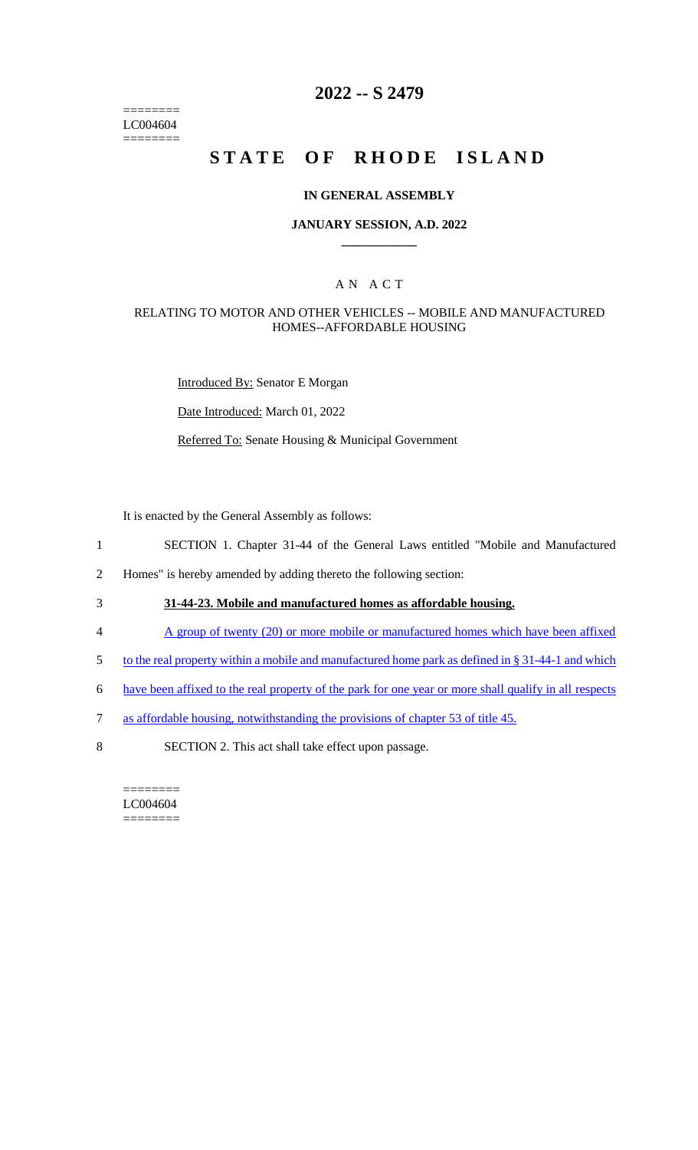======== LC004604 ========

## **2022 -- S 2479**

# **STATE OF RHODE ISLAND**

#### **IN GENERAL ASSEMBLY**

#### **JANUARY SESSION, A.D. 2022 \_\_\_\_\_\_\_\_\_\_\_\_**

### A N A C T

#### RELATING TO MOTOR AND OTHER VEHICLES -- MOBILE AND MANUFACTURED HOMES--AFFORDABLE HOUSING

Introduced By: Senator E Morgan

Date Introduced: March 01, 2022

Referred To: Senate Housing & Municipal Government

It is enacted by the General Assembly as follows:

- 1 SECTION 1. Chapter 31-44 of the General Laws entitled "Mobile and Manufactured
- 2 Homes" is hereby amended by adding thereto the following section:
- 3 **31-44-23. Mobile and manufactured homes as affordable housing.**
- 4 A group of twenty (20) or more mobile or manufactured homes which have been affixed
- 5 to the real property within a mobile and manufactured home park as defined in § 31-44-1 and which
- 6 have been affixed to the real property of the park for one year or more shall qualify in all respects
- 7 as affordable housing, notwithstanding the provisions of chapter 53 of title 45.
- 8 SECTION 2. This act shall take effect upon passage.

======== LC004604 ========